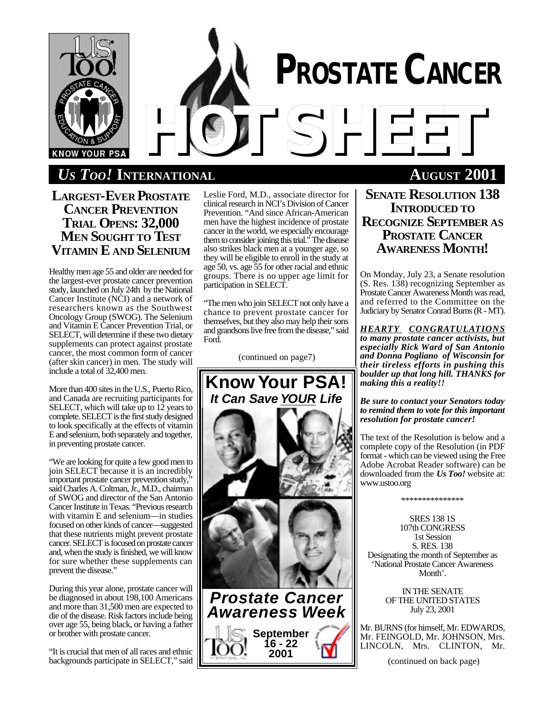

# *U<sub>S</sub>**Too!* INTERNATIONAL **AUGUST** 2001

**LARGEST-EVER PROSTATE CANCER PREVENTION TRIAL OPENS: 32,000 MEN SOUGHT TO TEST VITAMIN E AND SELENIUM**

Healthy men age 55 and older are needed for the largest-ever prostate cancer prevention study, launched on July 24th by the National Cancer Institute (NCI) and a network of researchers known as the Southwest Oncology Group (SWOG). The Selenium and Vitamin E Cancer Prevention Trial, or SELECT, will determine if these two dietary supplements can protect against prostate cancer, the most common form of cancer (after skin cancer) in men. The study will include a total of 32,400 men.

More than 400 sites in the U.S., Puerto Rico, and Canada are recruiting participants for SELECT, which will take up to  $12$  years to complete. SELECT is the first study designed to look specifically at the effects of vitamin E and selenium, both separately and together, in preventing prostate cancer.

"We are looking for quite a few good men to join SELECT because it is an incredibly important prostate cancer prevention study," said Charles A. Coltman, Jr., M.D., chairman of SWOG and director of the San Antonio Cancer Institute in Texas. "Previous research with vitamin E and selenium—in studies focused on other kinds of cancer—suggested that these nutrients might prevent prostate cancer. SELECT is focused on prostate cancer and, when the study is finished, we will know for sure whether these supplements can prevent the disease."

During this year alone, prostate cancer will be diagnosed in about 198,100 Americans and more than 31,500 men are expected to die of the disease. Risk factors include being over age 55, being black, or having a father or brother with prostate cancer.

"It is crucial that men of all races and ethnic backgrounds participate in SELECT," said Leslie Ford, M.D., associate director for clinical research in NCI's Division of Cancer Prevention. "And since African-American men have the highest incidence of prostate cancer in the world, we especially encourage them to consider joining this trial." The disease also strikes black men at a younger age, so they will be eligible to enroll in the study at age 50, vs. age 55 for other racial and ethnic groups. There is no upper age limit for participation in SELECT.

"The men who join SELECT not only have a chance to prevent prostate cancer for themselves, but they also may help their sons and grandsons live free from the disease," said Ford.

(continued on page7)



**SENATE RESOLUTION 138 INTRODUCED TO RECOGNIZE SEPTEMBER AS PROSTATE CANCER AWARENESS MONTH!**

On Monday, July 23, a Senate resolution (S. Res. 138) recognizing September as Prostate Cancer Awareness Month was read, and referred to the Committee on the Judiciary by Senator Conrad Burns (R - MT).

*HEARTY CONGRATULATIONS to many prostate cancer activists, but especially Rick Ward of San Antonio and Donna Pogliano of Wisconsin for their tireless efforts in pushing this boulder up that long hill. THANKS for making this a reality!!*

*Be sure to contact your Senators today to remind them to vote for this important resolution for prostate cancer!*

The text of the Resolution is below and a complete copy of the Resolution (in PDF format - which can be viewed using the Free Adobe Acrobat Reader software) can be downloaded from the *Us Too!* website at: www.ustoo.org

\*\*\*\*\*\*\*\*\*\*\*\*\*\*\*

SRES 138 1S 107th CONGRESS 1st Session S. RES. 138 Designating the month of September as 'National Prostate Cancer Awareness Month'.

> IN THE SENATE OF THE UNITED STATES July 23, 2001

Mr. BURNS (for himself, Mr. EDWARDS, Mr. FEINGOLD, Mr. JOHNSON, Mrs. LINCOLN, Mrs. CLINTON, Mr.

(continued on back page)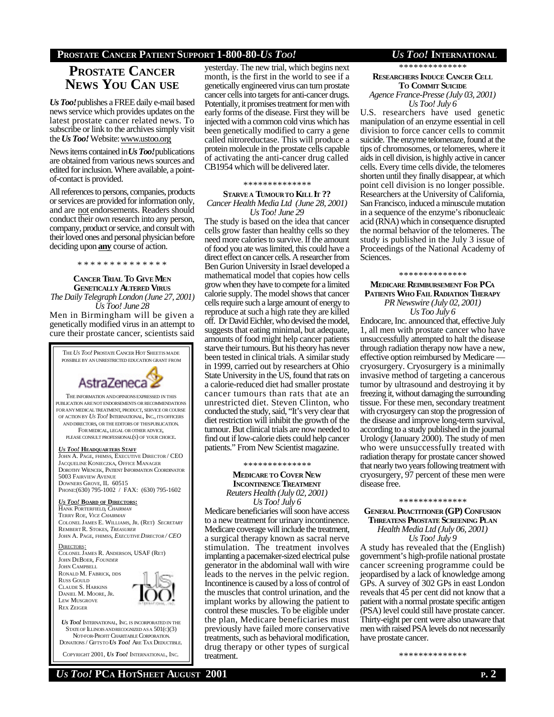# **PROSTATE CANCER PATIENT SUPPORT 1-800-80-***US TOO! US TOO!* **INTERNATIONAL**

# **PROSTATE CANCER NEWS YOU CAN USE**

*Us Too!*publishes a FREE daily e-mail based news service which provides updates on the latest prostate cancer related news. To subscribe or link to the archives simply visit the *Us Too!* Website: www.ustoo.org

News items contained in *Us Too!*publications are obtained from various news sources and edited for inclusion. Where available, a pointof-contact is provided.

All references to persons, companies, products or services are provided for information only, and are not endorsements. Readers should conduct their own research into any person, company, product or service, and consult with their loved ones and personal physician before deciding upon **any** course of action.

\* \* \* \* \* \* \* \* \* \* \* \* \* \*

# **CANCER TRIAL TO GIVE MEN GENETICALLY ALTERED VIRUS**

*The Daily Telegraph London (June 27, 2001) Us Too! June 28*

Men in Birmingham will be given a genetically modified virus in an attempt to cure their prostate cancer, scientists said

THE*US TOO!* PROSTATE CANCER HOT SHEETIS MADE POSSIBLE BY AN UNRESTRICTED EDUCATION GRANT FROM AstraZeneca 2 THE INFORMATION ANDOPINIONSEXPRESSED IN THIS PUBLICATION ARE NOT ENDORSEMENTS OR RECOMMENDATIONS FOR ANY MEDICAL TREATMENT, PRODUCT, SERVICE OR COURSE OF ACTION BY *US TOO!* INTERNATIONAL, INC., ITS OFFICERS AND DIRECTORS, OR THE EDITORS OF THISPUBLICATION. FOR MEDICAL, LEGAL OR OTHER ADVICE, PLEASE CONSULT PROFESSIONAL(S) OF YOUR CHOICE. *US TOO!* **HEADQUARTERS STAFF** JOHN A. PAGE, FHIMSS, EXECUTIVE DIRECTOR / CEO JACQUELINE KONIECZKA, OFFICE MANAGER DOROTHY WIENCEK, PATIENT INFORMATION COORDINATOR 5003 FAIRVIEW AVENUE DOWNERS GROVE, IL 60515 PHONE:(630) 795-1002 / FAX: (630) 795-1602

*US TOO!* **BOARD OF DIRECTORS:** HANK PORTERFIELD, *CHAIRMAN* TERRY ROE, *VICE CHAIRMAN* COLONEL JAMES E. WILLIAMS, JR. (RET) *SECRETARY* REMBERT R. STOKES, *TREASURER* JOHN A. PAGE, FHIMSS, *EXECUTIVE DIRECTOR / CEO*

DIRECTORS: COLONEL JAMES R. ANDERSON, USAF (RET) JOHN DEBOER, *FOUNDER* JOHN CAMPBELL RONALD M. FABRICK, DDS RUSS GOULD CLAUDE S. HARKINS DANIEL M. MOORE, JR. LEW MUSGROVE REX ZEIGER



*US TOO!* INTERNATIONAL, INC. IS INCORPORATED IN THE STATE OF ILLINOIS AND RECOGNIZED AS A  $501(c)(3)$  NOT-FOR-PROFIT CHARITABLE CORPORATION. DONATIONS / GIFTSTO *US TOO!* ARE TAX DEDUCTIBLE.

COPYRIGHT 2001, *US TOO!* INTERNATIONAL, INC.

yesterday. The new trial, which begins next month, is the first in the world to see if a genetically engineered virus can turn prostate cancer cells into targets for anti-cancer drugs. Potentially, it promises treatment for men with early forms of the disease. First they will be injected with a common cold virus which has been genetically modified to carry a gene called nitroreductase. This will produce a protein molecule in the prostate cells capable of activating the anti-cancer drug called CB1954 which will be delivered later.

## \* \* \* \* \* \* \* \* \* \* \* \* \* \*

**STARVEA TUMOURTO KILL IT ??** *Cancer Health Media Ltd (June 28, 2001) Us Too! June 29*

The study is based on the idea that cancer cells grow faster than healthy cells so they need more calories to survive. If the amount of food you ate was limited, this could have a direct effect on cancer cells. A researcher from Ben Gurion University in Israel developed a mathematical model that copies how cells grow when they have to compete for a limited calorie supply. The model shows that cancer cells require such a large amount of energy to reproduce at such a high rate they are killed off. Dr David Eichler, who devised the model, suggests that eating minimal, but adequate, amounts of food might help cancer patients starve their tumours. But his theory has never been tested in clinical trials. A similar study in 1999, carried out by researchers at Ohio State University in the US, found that rats on a calorie-reduced diet had smaller prostate cancer tumours than rats that ate an unrestricted diet. Steven Clinton, who conducted the study, said, "It's very clear that diet restriction will inhibit the growth of the tumour. But clinical trials are now needed to find out if low-calorie diets could help cancer patients." From New Scientist magazine.

#### \* \* \* \* \* \* \* \* \* \* \* \* \* \*

**MEDICARE TO COVER NEW INCONTINENCE TREATMENT** *Reuters Health (July 02, 2001) Us Too! July 6*

Medicare beneficiaries will soon have access to a new treatment for urinary incontinence. Medicare coverage will include the treatment, a surgical therapy known as sacral nerve stimulation. The treatment involves implanting a pacemaker-sized electrical pulse generator in the abdominal wall with wire leads to the nerves in the pelvic region. Incontinence is caused by a loss of control of the muscles that control urination, and the implant works by allowing the patient to control these muscles. To be eligible under the plan, Medicare beneficiaries must previously have failed more conservative treatments, such as behavioral modification, drug therapy or other types of surgical treatment.

\* \* \* \* \* \* \* \* \* \* \* \* \* \*

# **RESEARCHERS INDUCE CANCER CELL TO COMMIT SUICIDE** *Agence France-Presse (July 03, 2001)*

*Us Too! July 6* U.S. researchers have used genetic manipulation of an enzyme essential in cell division to force cancer cells to commit suicide. The enzyme telomeraze, found at the tips of chromosomes, or telomeres, where it aids in cell division, is highly active in cancer cells. Every time cells divide, the telomeres shorten until they finally disappear, at which point cell division is no longer possible. Researchers at the University of California, San Francisco, induced a minuscule mutation in a sequence of the enzyme's ribonucleaic acid (RNA) which in consequence disrupted the normal behavior of the telomeres. The study is published in the July 3 issue of Proceedings of the National Academy of Sciences.

#### \* \* \* \* \* \* \* \* \* \* \* \* \* \*

## **MEDICARE REIMBURSEMENT FOR PC<sup>A</sup> PATIENTS WHO FAIL RADIATION THERAPY** *PR Newswire (July 02, 2001)*

*Us Too July 6*

Endocare, Inc. announced that, effective July 1, all men with prostate cancer who have unsuccessfully attempted to halt the disease through radiation therapy now have a new, effective option reimbursed by Medicare cryosurgery. Cryosurgery is a minimally invasive method of targeting a cancerous tumor by ultrasound and destroying it by freezing it, without damaging the surrounding tissue. For these men, secondary treatment with cryosurgery can stop the progression of the disease and improve long-term survival, according to a study published in the journal Urology (January 2000). The study of men who were unsuccessfully treated with radiation therapy for prostate cancer showed that nearly two years following treatment with cryosurgery, 97 percent of these men were disease free.

# \*\*\*\*\*\*\*\*\*\*\*\*\* **GENERAL PRACTITIONER (GP) CONFUSION THREATENS PROSTATE SCREENING PLAN** *Health Media Ltd (July 06, 2001)*

*Us Too! July 9*

A study has revealed that the (English) government's high-profile national prostate cancer screening programme could be jeopardised by a lack of knowledge among GPs. A survey of 302 GPs in east London reveals that 45 per cent did not know that a patient with a normal prostate specific antigen (PSA) level could still have prostate cancer. Thirty-eight per cent were also unaware that men with raised PSA levels do not necessarily have prostate cancer.

\* \* \* \* \* \* \* \* \* \* \* \* \* \*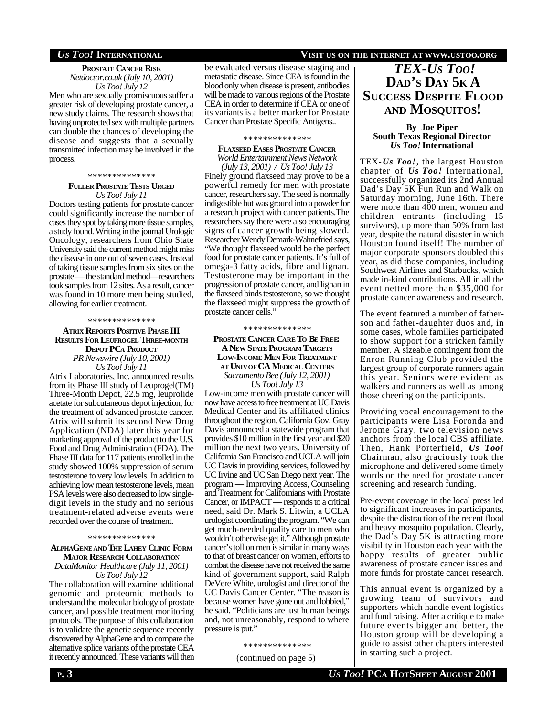# *US TOO!* **INTERNATIONAL VISIT US ON THE INTERNET AT WWW.USTOO.ORG**

### **PROSTATE CANCER RISK** *Netdoctor.co.uk (July 10, 2001) Us Too! July 12*

Men who are sexually promiscuous suffer a greater risk of developing prostate cancer, a new study claims. The research shows that having unprotected sex with multiple partners can double the chances of developing the disease and suggests that a sexually transmitted infection may be involved in the process.

# \* \* \* \* \* \* \* \* \* \* \* \* \* \* **FULLER PROSTATE TESTS URGED** *Us Too! July 11*

Doctors testing patients for prostate cancer could significantly increase the number of cases they spot by taking more tissue samples, a study found. Writing in the journal Urologic Oncology, researchers from Ohio State University said the current method might miss the disease in one out of seven cases. Instead of taking tissue samples from six sites on the prostate — the standard method—researchers took samples from 12 sites. As a result, cancer was found in 10 more men being studied, allowing for earlier treatment.

#### \* \* \* \* \* \* \* \* \* \* \* \* \* \*

### **ATRIX REPORTS POSITIVE PHASE III RESULTS FOR LEUPROGEL THREE-MONTH DEPOT PCA PRODUCT** *PR Newswire (July 10, 2001)*

*Us Too! July 11*

Atrix Laboratories, Inc. announced results from its Phase III study of Leuprogel(TM) Three-Month Depot, 22.5 mg, leuprolide acetate for subcutaneous depot injection, for the treatment of advanced prostate cancer. Atrix will submit its second New Drug Application (NDA) later this year for marketing approval of the product to the U.S. Food and Drug Administration (FDA). The Phase III data for 117 patients enrolled in the study showed 100% suppression of serum testosterone to very low levels. In addition to achieving low mean testosterone levels, mean PSA levels were also decreased to low singledigit levels in the study and no serious treatment-related adverse events were recorded over the course of treatment.

#### \* \* \* \* \* \* \* \* \* \* \* \* \* \*

#### **ALPHAGENEAND THE LAHEY CLINIC FORM MAJOR RESEARCH COLLABORATION** *DataMonitor Healthcare (July 11, 2001)*

*Us Too! July 12*

The collaboration will examine additional genomic and proteomic methods to understand the molecular biology of prostate cancer, and possible treatment monitoring protocols. The purpose of this collaboration is to validate the genetic sequence recently discovered by AlphaGene and to compare the alternative splice variants of the prostate CEA it recently announced. These variants will then

## be evaluated versus disease staging and metastatic disease. Since CEA is found in the blood only when disease is present, antibodies will be made to various regions of the Prostate CEA in order to determine if CEA or one of its variants is a better marker for Prostate Cancer than Prostate Specific Antigens..

#### \*\*\*\*\*\*\*\*\*\*\*\*\*

#### **FLAXSEED EASES PROSTATE CANCER** *World Entertainment News Network (July 13, 2001) / Us Too! July 13*

Finely ground flaxseed may prove to be a powerful remedy for men with prostate cancer, researchers say. The seed is normally indigestible but was ground into a powder for a research project with cancer patients.The researchers say there were also encouraging signs of cancer growth being slowed. Researcher Wendy Demark-Wahnefried says, "We thought flaxseed would be the perfect food for prostate cancer patients. It's full of omega-3 fatty acids, fibre and lignan. Testosterone may be important in the progression of prostate cancer, and lignan in the flaxseed binds testosterone, so we thought the flaxseed might suppress the growth of prostate cancer cells."

#### \*\*\*\*\*\*\*\*\*\*\*\*\*\*

### **PROSTATE CANCER CARE TO BE FREE: A NEW STATE PROGRAM TARGETS LOW-INCOME MEN FOR TREATMENT AT UNIVOF CA MEDICAL CENTERS** *Sacramento Bee (July 12, 2001) Us Too! July 13*

Low-income men with prostate cancer will now have access to free treatment at UC Davis Medical Center and its affiliated clinics throughout the region. California Gov. Gray Davis announced a statewide program that provides \$10 million in the first year and \$20 million the next two years. University of California San Francisco and UCLA will join UC Davis in providing services, followed by UC Irvine and UC San Diego next year. The program — Improving Access, Counseling and Treatment for Californians with Prostate Cancer, or IMPACT — responds to a critical need, said Dr. Mark S. Litwin, a UCLA urologist coordinating the program. "We can get much-needed quality care to men who wouldn't otherwise get it." Although prostate cancer's toll on men is similar in many ways to that of breast cancer on women, efforts to combat the disease have not received the same kind of government support, said Ralph DeVere White, urologist and director of the UC Davis Cancer Center. "The reason is because women have gone out and lobbied," he said. "Politicians are just human beings and, not unreasonably, respond to where pressure is put."

\* \* \* \* \* \* \* \* \* \* \* \* \* \*

(continued on page 5)

# *TEX-US TOO!*

# **DAD'S DAY 5K A SUCCESS DESPITE FLOOD AND MOSQUITOS!**

### **By Joe Piper South Texas Regional Director** *Us Too!* **International**

TEX-*Us Too!*, the largest Houston chapter of *Us Too!* International, successfully organized its 2nd Annual Dad's Day 5K Fun Run and Walk on Saturday morning, June 16th. There were more than 400 men, women and children entrants (including 15 survivors), up more than 50% from last year, despite the natural disaster in which Houston found itself! The number of major corporate sponsors doubled this year, as did those companies, including Southwest Airlines and Starbucks, which made in-kind contributions. All in all the event netted more than \$35,000 for prostate cancer awareness and research.

The event featured a number of fatherson and father-daughter duos and, in some cases, whole families participated to show support for a stricken family member. A sizeable contingent from the Enron Running Club provided the largest group of corporate runners again this year. Seniors were evident as walkers and runners as well as among those cheering on the participants.

Providing vocal encouragement to the participants were Lisa Foronda and Jerome Gray, two television news anchors from the local CBS affiliate. Then, Hank Porterfield, *Us Too!* Chairman, also graciously took the microphone and delivered some timely words on the need for prostate cancer screening and research funding.

Pre-event coverage in the local press led to significant increases in participants, despite the distraction of the recent flood and heavy mosquito population. Clearly, the Dad's Day 5K is attracting more visibility in Houston each year with the happy results of greater public awareness of prostate cancer issues and more funds for prostate cancer research.

This annual event is organized by a growing team of survivors and supporters which handle event logistics and fund raising. After a critique to make future events bigger and better, the Houston group will be developing a guide to assist other chapters interested in starting such a project.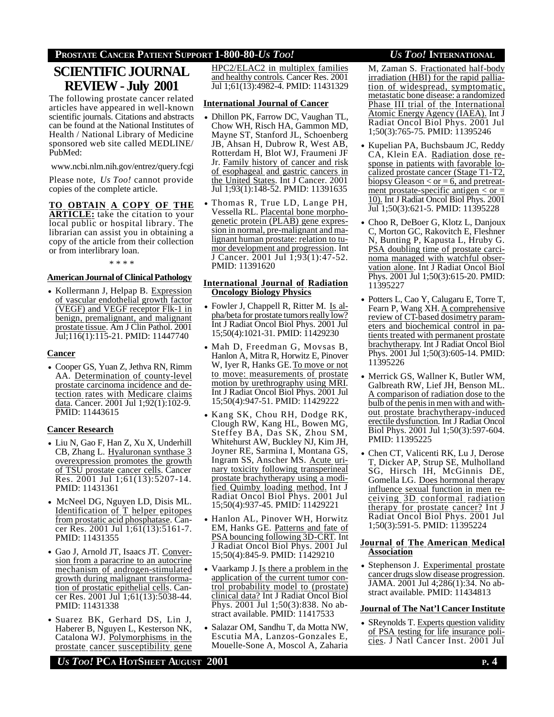# **PROSTATE CANCER PATIENT SUPPORT 1-800-80-***US TOO! US TOO!* **INTERNATIONAL**

# **SCIENTIFIC JOURNAL REVIEW - July 2001**

The following prostate cancer related articles have appeared in well-known scientific journals. Citations and abstracts can be found at the National Institutes of Health / National Library of Medicine sponsored web site called MEDLINE/ PubMed:

www.ncbi.nlm.nih.gov/entrez/query.fcgi

Please note, *Us Too!* cannot provide copies of the complete article.

**TO OBTAIN A COPY OF THE ARTICLE:** take the citation to your local public or hospital library. The librarian can assist you in obtaining a copy of the article from their collection or from interlibrary loan.

\* \* \* \*

# **AmericanJournal of ClinicalPathology**

• Kollermann J, Helpap B. Expression of vascular endothelial growth factor (VEGF) and VEGF receptor Flk-1 in benign, premalignant, and malignant prostate tissue. Am J Clin Pathol. 2001 Jul;116(1):115-21. PMID: 11447740

# **Cancer**

• Cooper GS, Yuan Z, Jethva RN, Rimm AA. Determination of county-level prostate carcinoma incidence and detection rates with Medicare claims data. Cancer. 2001 Jul 1;92(1):102-9. PMID: 11443615

# **Cancer Research**

- Liu N, Gao F, Han Z, Xu X, Underhill CB, Zhang L. Hyaluronan synthase 3 overexpression promotes the growth of TSU prostate cancer cells. Cancer Res. 2001 Jul 1;61(13):5207-14. PMID: 11431361
- McNeel DG, Nguyen LD, Disis ML. Identification of T helper epitopes from prostatic acid phosphatase. Cancer Res. 2001 Jul 1;61(13):5161-7. PMID: 11431355
- Gao J, Arnold JT, Isaacs JT. Conversion from a paracrine to an autocrine mechanism of androgen-stimulated growth during malignant transformation of prostatic epithelial cells. Cancer Res. 2001 Jul 1;61(13):5038-44. PMID: 11431338
- Suarez BK, Gerhard DS, Lin J, Haberer B, Nguyen L, Kesterson NK, Catalona WJ. Polymorphisms in the prostate cancer susceptibility gene

HPC2/ELAC2 in multiplex families and healthy controls. Cancer Res. 2001 Jul 1;61(13):4982-4. PMID: 11431329

# **International Journal of Cancer**

- Dhillon PK, Farrow DC, Vaughan TL, Chow WH, Risch HA, Gammon MD, Mayne ST, Stanford JL, Schoenberg JB, Ahsan H, Dubrow R, West AB, Rotterdam H, Blot WJ, Fraumeni JF Jr. Family history of cancer and risk of esophageal and gastric cancers in the United States. Int J Cancer. 2001 Jul 1;93(1):148-52. PMID: 11391635
- Thomas R, True LD, Lange PH, Vessella RL. Placental bone morphogenetic protein (PLAB) gene expression in normal, pre-malignant and malignant human prostate: relation to tumor development and progression. Int J Cancer. 2001 Jul 1;93(1):47-52. PMID: 11391620

## **International Journal of Radiation Oncology Biology Physics**

- Fowler J, Chappell R, Ritter M. Is alpha/beta for prostate tumors really low? Int J Radiat Oncol Biol Phys. 2001 Jul 15;50(4):1021-31. PMID: 11429230
- Mah D, Freedman G, Movsas B, Hanlon A, Mitra R, Horwitz E, Pinover W, Iyer R, Hanks GE. To move or not to move: measurements of prostate motion by urethrography using MRI. Int J Radiat Oncol Biol Phys. 2001 Jul 15;50(4):947-51. PMID: 11429222
- Kang SK, Chou RH, Dodge RK, Clough RW, Kang HL, Bowen MG, Steffey BA, Das SK, Zhou SM, Whitehurst AW, Buckley NJ, Kim JH, Joyner RE, Sarmina I, Montana GS, Ingram SS, Anscher MS. Acute urinary toxicity following transperineal prostate brachytherapy using a modified Quimby loading method. Int J Radiat Oncol Biol Phys. 2001 Jul 15;50(4):937-45. PMID: 11429221
- Hanlon AL, Pinover WH, Horwitz EM, Hanks GE. Patterns and fate of PSA bouncing following 3D-CRT. Int J Radiat Oncol Biol Phys. 2001 Jul 15;50(4):845-9. PMID: 11429210
- Vaarkamp J. Is there a problem in the application of the current tumor control probability model to (prostate) clinical data? Int J Radiat Oncol Biol Phys. 2001 Jul 1;50(3):838. No abstract available. PMID: 11417533
- Salazar OM, Sandhu T, da Motta NW, Escutia MA, Lanzos-Gonzales E, Mouelle-Sone A, Moscol A, Zaharia

M, Zaman S. Fractionated half-body irradiation (HBI) for the rapid palliation of widespread, symptomatic, metastatic bone disease: a randomized Phase III trial of the International Atomic Energy Agency (IAEA). Int J Radiat Oncol Biol Phys. 2001 Jul 1;50(3):765-75. PMID: 11395246

- Kupelian PA, Buchsbaum JC, Reddy CA, Klein EA. Radiation dose response in patients with favorable localized prostate cancer (Stage T1-T2, biopsy Gleason  $\lt$  or = 6, and pretreatment prostate-specific antigen  $\le$  or  $=$ 10). Int J Radiat Oncol Biol Phys. 2001 Jul 1;50(3):621-5. PMID: 11395228
- Choo R, DeBoer G, Klotz L, Danjoux C, Morton GC, Rakovitch E, Fleshner N, Bunting P, Kapusta L, Hruby G. PSA doubling time of prostate carcinoma managed with watchful observation alone. Int J Radiat Oncol Biol Phys. 2001 Jul 1;50(3):615-20. PMID: 11395227
- Potters L, Cao Y, Calugaru E, Torre T, Fearn P, Wang XH. A comprehensive review of CT-based dosimetry parameters and biochemical control in patients treated with permanent prostate brachytherapy. Int J Radiat Oncol Biol Phys. 2001 Jul 1;50(3):605-14. PMID: 11395226
- Merrick GS, Wallner K, Butler WM, Galbreath RW, Lief JH, Benson ML. A comparison of radiation dose to the bulb of the penis in men with and without prostate brachytherapy-induced erectile dysfunction. Int J Radiat Oncol Biol Phys. 2001 Jul 1;50(3):597-604. PMID: 11395225
- Chen CT, Valicenti RK, Lu J, Derose T, Dicker AP, Strup SE, Mulholland SG, Hirsch IH, McGinnis DE, Gomella LG. Does hormonal therapy influence sexual function in men receiving 3D conformal radiation therapy for prostate cancer? Int J Radiat Oncol Biol Phys. 2001 Jul 1;50(3):591-5. PMID: 11395224

# **Journal of The American Medical Association**

• Stephenson J. Experimental prostate cancer drugs slow disease progression. JAMA. 2001 Jul 4;286(1):34. No abstract available. PMID: 11434813

## **Journal of The Nat'l Cancer Institute**

• SReynolds T. Experts question validity of PSA testing for life insurance policies. J Natl Cancer Inst. 2001 Jul

*US TOO!* **PCA HOTSHEET AUGUST 2001 P. 4**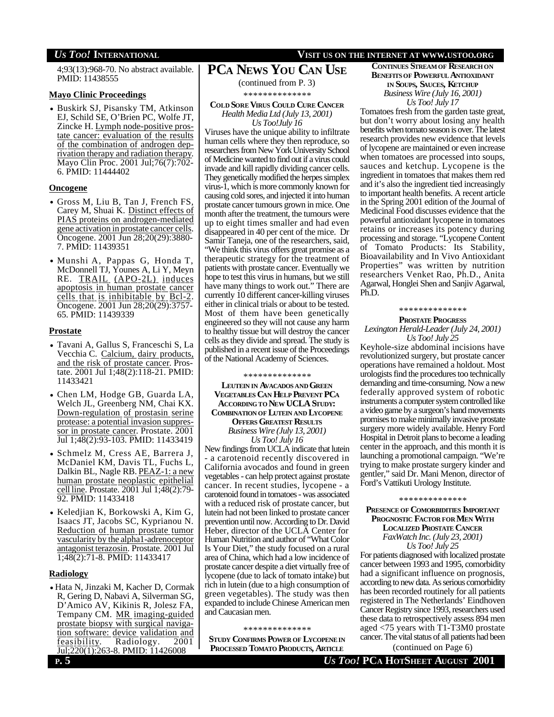# *US TOO!* **INTERNATIONAL VISIT US ON THE INTERNET AT WWW.USTOO.ORG**

4;93(13):968-70. No abstract available. PMID: 11438555

# **Mayo Clinic Proceedings**

• Buskirk SJ, Pisansky TM, Atkinson EJ, Schild SE, O'Brien PC, Wolfe JT, Zincke H. Lymph node-positive prostate cancer: evaluation of the results of the combination of androgen deprivation therapy and radiation therapy. Mayo Clin Proc. 2001 Jul;76(7):702- 6. PMID: 11444402

# **Oncogene**

- Gross M, Liu B, Tan J, French FS, Carey M, Shuai K. Distinct effects of PIAS proteins on androgen-mediated gene activation in prostate cancer cells. Oncogene. 2001 Jun 28;20(29):3880- 7. PMID: 11439351
- Munshi A, Pappas G, Honda T, McDonnell TJ, Younes A, Li Y, Meyn RE. TRAIL (APO-2L) induces apoptosis in human prostate cancer cells that is inhibitable by Bcl-2. Oncogene. 2001 Jun 28;20(29):3757- 65. PMID: 11439339

# **Prostate**

- Tavani A, Gallus S, Franceschi S, La Vecchia C. Calcium, dairy products, and the risk of prostate cancer. Prostate. 2001 Jul 1;48(2):118-21. PMID: 11433421
- Chen LM, Hodge GB, Guarda LA, Welch JL, Greenberg NM, Chai KX. Down-regulation of prostasin serine protease: a potential invasion suppressor in prostate cancer. Prostate. 2001 Jul 1;48(2):93-103. PMID: 11433419
- Schmelz M, Cress AE, Barrera J, McDaniel KM, Davis TL, Fuchs L, Dalkin BL, Nagle RB. PEAZ-1: a new human prostate neoplastic epithelial cellline. Prostate. 2001 Jul 1;48(2):79- 92. PMID: 11433418
- Keledjian K, Borkowski A, Kim G, Isaacs JT, Jacobs SC, Kyprianou N. Reduction of human prostate tumor vascularity by the alpha1-adrenoceptor antagonist terazosin. Prostate. 2001 Jul 1;48(2):71-8. PMID: 11433417

# **Radiology**

• Hata N, Jinzaki M, Kacher D, Cormak R, Gering D, Nabavi A, Silverman SG, D'Amico AV, Kikinis R, Jolesz FA, Tempany CM. MR imaging-guided prostate biopsy with surgical navigation software: device validation and feasibility. Radiology. 2001 Jul;220(1):263-8. PMID: 11426008

# **PCA NEWS YOU CAN USE**

(continued from P. 3)

\* \* \* \* \* \* \* \* \* \* \* \* \* \*

## **COLD SORE VIRUS COULD CURE CANCER** *Health Media Ltd (July 13, 2001) Us Too!July 16*

Viruses have the unique ability to infiltrate human cells where they then reproduce, so researchers from New York University School of Medicine wanted to find out if a virus could invade and kill rapidly dividing cancer cells. They genetically modified the herpes simplex virus-1, which is more commonly known for causing cold sores, and injected it into human prostate cancer tumours grown in mice. One month after the treatment, the tumours were up to eight times smaller and had even disappeared in 40 per cent of the mice. Dr Samir Taneja, one of the researchers, said, "We think this virus offers great promise as a therapeutic strategy for the treatment of patients with prostate cancer. Eventually we hope to test this virus in humans, but we still have many things to work out." There are currently 10 different cancer-killing viruses either in clinical trials or about to be tested. Most of them have been genetically engineered so they will not cause any harm to healthy tissue but will destroy the cancer cells as they divide and spread. The study is published in a recent issue of the Proceedings of the National Academy of Sciences.

\* \* \* \* \* \* \* \* \* \* \* \* \* \*

**LEUTEIN IN AVACADOS AND GREEN VEGETABLES CAN HELP PREVENT PC<sup>A</sup> ACCORDING TO NEW UCLA STUDY: COMBINATION OF LUTEIN AND LYCOPENE OFFERS GREATEST RESULTS** *Business Wire (July 13, 2001) Us Too! July 16*

New findings from UCLA indicate that lutein - a carotenoid recently discovered in California avocados and found in green vegetables - can help protect against prostate cancer. In recent studies, lycopene - a carotenoid found in tomatoes - was associated with a reduced risk of prostate cancer, but lutein had not been linked to prostate cancer prevention until now. According to Dr. David Heber, director of the UCLA Center for Human Nutrition and author of "What Color Is Your Diet," the study focused on a rural area of China, which had a low incidence of prostate cancer despite a diet virtually free of lycopene (due to lack of tomato intake) but rich in lutein (due to a high consumption of green vegetables). The study was then expanded to include Chinese American men and Caucasian men.

\* \* \* \* \* \* \* \* \* \* \* \* \* \*

**STUDY CONFIRMS POWER OF LYCOPENEIN PROCESSED TOMATO PRODUCTS, ARTICLE**

# **CONTINUES STREAM OF RESEARCH ON BENEFITSOF POWERFUL ANTIOXIDANT IN SOUPS, SAUCES, KETCHUP** *Business Wire (July 16, 2001) Us Too! July 17*

Tomatoes fresh from the garden taste great, but don't worry about losing any health benefits when tomato season is over. The latest research provides new evidence that levels of lycopene are maintained or even increase when tomatoes are processed into soups, sauces and ketchup. Lycopene is the ingredient in tomatoes that makes them red and it's also the ingredient tied increasingly to important health benefits. A recent article in the Spring 2001 edition of the Journal of Medicinal Food discusses evidence that the powerful antioxidant lycopene in tomatoes retains or increases its potency during processing and storage. "Lycopene Content of Tomato Products: Its Stability, Bioavailability and In Vivo Antioxidant Properties" was written by nutrition researchers Venket Rao, Ph.D., Anita Agarwal, Honglei Shen and Sanjiv Agarwal, Ph.D.

### \* \* \* \* \* \* \* \* \* \* \* \* \* \*

# **PROSTATE PROGRESS** *Lexington Herald-Leader (July 24, 2001) Us Too! July 25*

Keyhole-size abdominal incisions have revolutionized surgery, but prostate cancer operations have remained a holdout. Most urologists find the procedures too technically demanding and time-consuming. Now a new federally approved system of robotic instruments a computer system controlled like a video game by a surgeon's hand movements promises to make minimally invasive prostate surgery more widely available. Henry Ford Hospital in Detroit plans to become a leading center in the approach, and this month it is launching a promotional campaign. "We're trying to make prostate surgery kinder and gentler," said Dr. Mani Menon, director of Ford's Vattikuti Urology Institute.

#### \* \* \* \* \* \* \* \* \* \* \* \* \* \*

**PRESENCE OF COMORBIDITIES IMPORTANT PROGNOSTIC FACTOR FOR MEN WITH LOCALIZED PROSTATE CANCER** *FaxWatch Inc. (July 23, 2001) Us Too! July 25*

For patients diagnosed with localized prostate cancer between 1993 and 1995, comorbidity had a significant influence on prognosis, according to new data. As serious comorbidity has been recorded routinely for all patients registered in The Netherlands' Eindhoven Cancer Registry since 1993, researchers used these data to retrospectively assess 894 men aged <75 years with T1-T3M0 prostate cancer. The vital status of all patients had been

(continued on Page 6)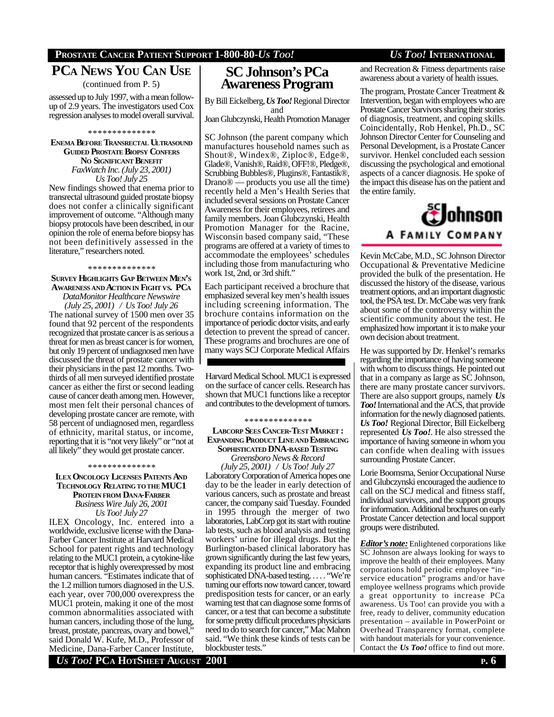# **PCA NEWS YOU CAN USE** (continued from P. 5)

assessed up to July 1997, with a mean followup of 2.9 years. The investigators used Cox regression analyses to model overall survival.

#### \* \* \* \* \* \* \* \* \* \* \* \* \* \*

**ENEMA BEFORE TRANSRECTAL ULTRASOUND GUIDED PROSTATE BIOPSY CONFERS NO SIGNIFICANT BENEFIT** *FaxWatch Inc. (July 23, 2001) Us Too! July 25*

New findings showed that enema prior to transrectal ultrasound guided prostate biopsy does not confer a clinically significant improvement of outcome. "Although many biopsy protocols have been described, in our opinion the role of enema before biopsy has not been definitively assessed in the literature," researchers noted.

## \* \* \* \* \* \* \* \* \* \* \* \* \* \*

# **SURVEY HIGHLIGHTS GAP BETWEEN MEN'<sup>S</sup> AWARENESS AND ACTION IN FIGHT VS. PC<sup>A</sup>** *DataMonitor Healthcare Newswire*

*(July 25, 2001) / Us Too! July 26* The national survey of 1500 men over 35 found that 92 percent of the respondents recognized that prostate cancer is as serious a threat for men as breast cancer is for women, but only 19 percent of undiagnosed men have discussed the threat of prostate cancer with their physicians in the past 12 months. Twothirds of all men surveyed identified prostate cancer as either the first or second leading cause of cancer death among men. However, most men felt their personal chances of developing prostate cancer are remote, with 58 percent of undiagnosed men, regardless of ethnicity, marital status, or income, reporting that it is "not very likely" or "not at all likely" they would get prostate cancer.

#### \* \* \* \* \* \* \* \* \* \* \* \* \* \*

**ILEX ONCOLOGY LICENSES PATENTS AND TECHNOLOGY RELATING TOTHE MUC1 PROTEIN FROM DANA-FARBER** *Business Wire July 26, 2001*

*Us Too! July 27*

ILEX Oncology, Inc. entered into a worldwide, exclusive license with the Dana-Farber Cancer Institute at Harvard Medical School for patent rights and technology relating to the MUC1 protein, a cytokine-like receptor that is highly overexpressed by most human cancers. "Estimates indicate that of the 1.2 million tumors diagnosed in the U.S. each year, over 700,000 overexpress the MUC1 protein, making it one of the most common abnormalities associated with human cancers, including those of the lung, breast, prostate, pancreas, ovary and bowel, said Donald W. Kufe, M.D., Professor of Medicine, Dana-Farber Cancer Institute,

# **SC Johnson's PCa Awareness Program**

By Bill Eickelberg, *Us Too!* Regional Director and

Joan Glubczynski, Health Promotion Manager

SC Johnson (the parent company which manufactures household names such as Shout®, Windex®, Ziploc®, Edge®, Glade®, Vanish®, Raid®, OFF!®, Pledge®, Scrubbing Bubbles®, Plugins®, Fantastik®, Drano® — products you use all the time) recently held a Men's Health Series that included several sessions on Prostate Cancer Awareness for their employees, retirees and family members. Joan Glubczynski, Health Promotion Manager for the Racine, Wisconsin based company said, "These programs are offered at a variety of times to accommodate the employees' schedules including those from manufacturing who work 1st, 2nd, or 3rd shift."

Each participant received a brochure that emphasized several key men's health issues including screening information. The brochure contains information on the importance of periodic doctor visits, and early detection to prevent the spread of cancer. These programs and brochures are one of many ways SCJ Corporate Medical Affairs

Harvard Medical School. MUC1 is expressed on the surface of cancer cells. Research has shown that MUC1 functions like a receptor and contributes to the development of tumors.

#### \* \* \* \* \* \* \* \* \* \* \* \* \* \*

# **LABCORP SEES CANCER-TEST MARKET : EXPANDING PRODUCT LINEAND EMBRACING SOPHISTICATED DNA-BASED TESTING**

*Greensboro News & Record (July 25, 2001) / Us Too! July 27* Laboratory Corporation of America hopes one day to be the leader in early detection of various cancers, such as prostate and breast cancer, the company said Tuesday. Founded in 1995 through the merger of two laboratories, LabCorp got its start with routine lab tests, such as blood analysis and testing workers' urine for illegal drugs. But the Burlington-based clinical laboratory has grown significantly during the last few years, expanding its product line and embracing sophisticated DNA-based testing. . . . . "We're turning our efforts now toward cancer, toward predisposition tests for cancer, or an early warning test that can diagnose some forms of cancer, or a test that can become a substitute for some pretty difficult procedures physicians need to do to search for cancer," Mac Mahon said. "We think these kinds of tests can be blockbuster tests."

and Recreation & Fitness departments raise awareness about a variety of health issues.

The program, Prostate Cancer Treatment & Intervention, began with employees who are Prostate Cancer Survivors sharing their stories of diagnosis, treatment, and coping skills. Coincidentally, Rob Henkel, Ph.D., SC Johnson Director Center for Counseling and Personal Development, is a Prostate Cancer survivor. Henkel concluded each session discussing the psychological and emotional aspects of a cancer diagnosis. He spoke of the impact this disease has on the patient and the entire family.



Kevin McCabe, M.D., SC Johnson Director Occupational & Preventative Medicine provided the bulk of the presentation. He discussed the history of the disease, various treatment options, and an important diagnostic tool, the PSA test. Dr. McCabe was very frank about some of the controversy within the scientific community about the test. He emphasized how important it is to make your own decision about treatment.

He was supported by Dr. Henkel's remarks regarding the importance of having someone with whom to discuss things. He pointed out that in a company as large as SC Johnson, there are many prostate cancer survivors. There are also support groups, namely *Us Too!* International and the ACS, that provide information for the newly diagnosed patients. *Us Too!* Regional Director, Bill Eickelberg represented *Us Too!*. He also stressed the importance of having someone in whom you can confide when dealing with issues surrounding Prostate Cancer.

Lorie Boomsma, Senior Occupational Nurse and Glubczynski encouraged the audience to call on the SCJ medical and fitness staff, individual survivors, and the support groups for information. Additional brochures on early Prostate Cancer detection and local support groups were distributed.

*Editor's note:* Enlightened corporations like SC Johnson are always looking for ways to improve the health of their employees. Many corporations hold periodic employee "inservice education" programs and/or have employee wellness programs which provide a great opportunity to increase PCa awareness. Us Too! can provide you with a free, ready to deliver, community education presentation – available in PowerPoint or Overhead Transparency format, complete with handout materials for your convenience. Contact the *Us Too!* office to find out more.

*PCCA***<b>** HOTSHEET AUGUST 2001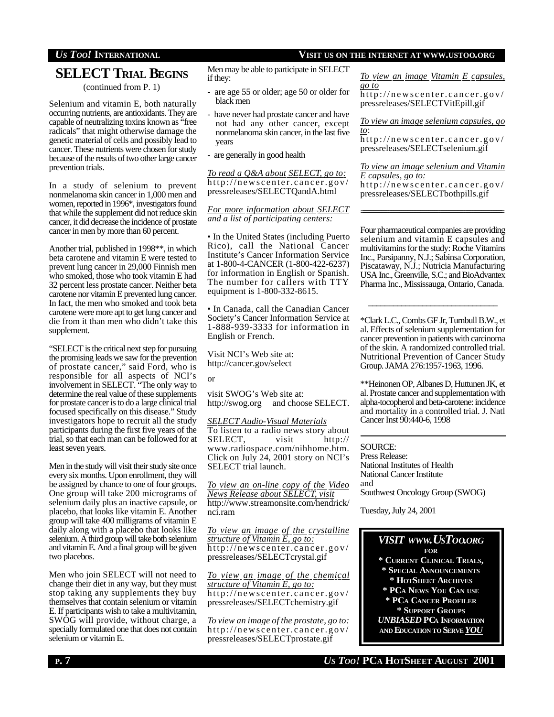# *US TOO!* **INTERNATIONAL VISIT US ON THE INTERNET AT WWW.USTOO.ORG**

# **SELECT TRIAL BEGINS**

(continued from P. 1)

Selenium and vitamin E, both naturally occurring nutrients, are antioxidants. They are capable of neutralizing toxins known as "free radicals" that might otherwise damage the genetic material of cells and possibly lead to cancer. These nutrients were chosen for study because of the results of two other large cancer prevention trials.

In a study of selenium to prevent nonmelanoma skin cancer in 1,000 men and women, reported in 1996\*, investigators found that while the supplement did not reduce skin cancer, it did decrease the incidence of prostate cancer in men by more than 60 percent.

Another trial, published in 1998\*\*, in which beta carotene and vitamin E were tested to prevent lung cancer in 29,000 Finnish men who smoked, those who took vitamin E had 32 percent less prostate cancer. Neither beta carotene nor vitamin E prevented lung cancer. In fact, the men who smoked and took beta carotene were more apt to get lung cancer and die from it than men who didn't take this supplement.

"SELECT is the critical next step for pursuing the promising leads we saw for the prevention of prostate cancer," said Ford, who is responsible for all aspects of NCI's involvement in SELECT. "The only way to determine the real value of these supplements for prostate cancer is to do a large clinical trial focused specifically on this disease." Study investigators hope to recruit all the study participants during the first five years of the trial, so that each man can be followed for at least seven years.

Men in the study will visit their study site once every six months. Upon enrollment, they will be assigned by chance to one of four groups. One group will take 200 micrograms of selenium daily plus an inactive capsule, or placebo, that looks like vitamin E. Another group will take 400 milligrams of vitamin E daily along with a placebo that looks like selenium. A third group will take both selenium and vitamin E. And a final group will be given two placebos.

Men who join SELECT will not need to change their diet in any way, but they must stop taking any supplements they buy themselves that contain selenium or vitamin E. If participants wish to take a multivitamin, SWOG will provide, without charge, a specially formulated one that does not contain selenium or vitamin E.

Men may be able to participate in SELECT if they:

- are age 55 or older; age 50 or older for black men
- have never had prostate cancer and have not had any other cancer, except nonmelanoma skin cancer, in the last five years
- are generally in good health

*To read a Q&A about SELECT, go to:* http://newscenter.cancer.gov/ pressreleases/SELECTQandA.html

## *For more information about SELECT and a list of participating centers:*

• In the United States (including Puerto Rico), call the National Cancer Institute's Cancer Information Service at 1-800-4-CANCER (1-800-422-6237) for information in English or Spanish. The number for callers with TTY equipment is 1-800-332-8615.

• In Canada, call the Canadian Cancer Society's Cancer Information Service at 1-888-939-3333 for information in English or French.

Visit NCI's Web site at: http://cancer.gov/select

or

visit SWOG's Web site at: http://swog.org and choose SELECT.

*SELECT Audio-Visual Materials* To listen to a radio news story about SELECT, visit http:// www.radiospace.com/nihhome.htm. Click on July 24, 2001 story on NCI's SELECT trial launch.

*To view an on-line copy of the Video News Release about SELECT, visit* http://www.streamonsite.com/hendrick/ nci.ram

*To view an image of the crystalline structure of Vitamin E, go to:* http://newscenter.cancer.gov/ pressreleases/SELECTcrystal.gif

*To view an image of the chemical structure of Vitamin E, go to:* http://newscenter.cancer.gov/ pressreleases/SELECTchemistry.gif

*To view an image ofthe prostate, go to:* http://newscenter.cancer.gov/ pressreleases/SELECTprostate.gif

*To view an image Vitamin E capsules, go to*

http://newscenter.cancer.gov/ pressreleases/SELECTVitEpill.gif

*To view an image selenium capsules, go to*:

http://newscenter.cancer.gov/ pressreleases/SELECTselenium.gif

*To view an image selenium and Vitamin E capsules, go to:* http://newscenter.cancer.gov/ pressreleases/SELECTbothpills.gif

Four pharmaceutical companies are providing selenium and vitamin E capsules and multivitamins for the study: Roche Vitamins Inc., Parsipanny, N.J.; Sabinsa Corporation, Piscataway, N.J.; Nutricia Manufacturing USA Inc., Greenville, S.C.; and BioAdvantex Pharma Inc., Mississauga, Ontario, Canada.

\*Clark L.C., Combs GF Jr, Turnbull B.W., et al. Effects of selenium supplementation for cancer prevention in patients with carcinoma of the skin. A randomized controlled trial. Nutritional Prevention of Cancer Study Group. JAMA 276:1957-1963, 1996.

\_\_\_\_\_\_\_\_\_\_\_\_\_\_\_\_\_\_\_\_\_\_\_\_\_\_\_\_\_\_\_

\*\*Heinonen OP, Albanes D, Huttunen JK, et al. Prostate cancer and supplementation with alpha-tocopherol and beta-carotene: incidence and mortality in a controlled trial. J. Natl Cancer Inst 90:440-6, 1998

SOURCE:

=

Press Release: National Institutes of Health National Cancer Institute and Southwest Oncology Group (SWOG)

Tuesday, July 24, 2001

# *VISIT WWW.USTOO.ORG* **FOR**

- **\* CURRENT CLINICAL TRIALS,**
- **\* SPECIAL ANNOUNCEMENTS \* HOTSHEET ARCHIVES**
- **\* PCA NEWS YOU CAN USE \* PCA CANCER PROFILER \* SUPPORT GROUPS** *UNBIASED* **PCA INFORMATION**
- **AND EDUCATION TO SERVE** *YOU*